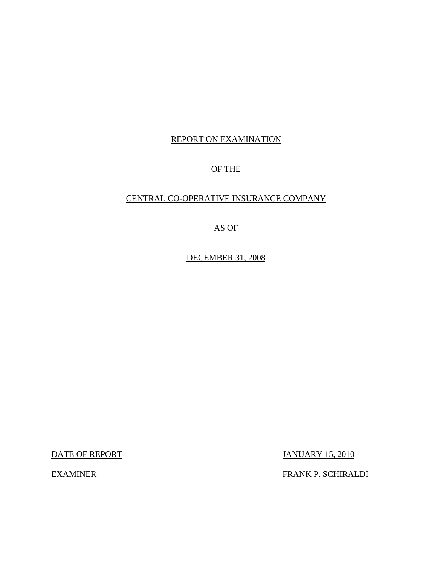# REPORT ON EXAMINATION

# OF THE

# CENTRAL CO-OPERATIVE INSURANCE COMPANY

# AS OF

DECEMBER 31, 2008

DATE OF REPORT JANUARY 15, 2010

EXAMINER FRANK P. SCHIRALDI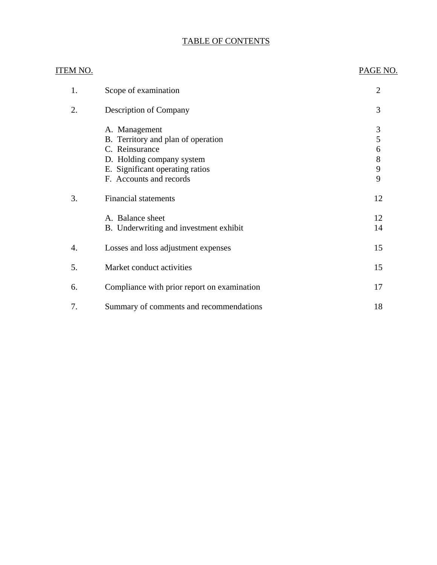# TABLE OF CONTENTS

| ITEM NO. |                                                                                                                                                                  | PAGE NO.                                |
|----------|------------------------------------------------------------------------------------------------------------------------------------------------------------------|-----------------------------------------|
| 1.       | Scope of examination                                                                                                                                             | $\overline{2}$                          |
| 2.       | <b>Description of Company</b>                                                                                                                                    | 3                                       |
|          | A. Management<br>B. Territory and plan of operation<br>C. Reinsurance<br>D. Holding company system<br>E. Significant operating ratios<br>F. Accounts and records | $\mathfrak{Z}$<br>5<br>6<br>8<br>9<br>9 |
| 3.       | <b>Financial statements</b>                                                                                                                                      | 12                                      |
|          | A. Balance sheet<br>B. Underwriting and investment exhibit                                                                                                       | 12<br>14                                |
| 4.       | Losses and loss adjustment expenses                                                                                                                              | 15                                      |
| 5.       | Market conduct activities                                                                                                                                        | 15                                      |
| 6.       | Compliance with prior report on examination                                                                                                                      | 17                                      |
| 7.       | Summary of comments and recommendations                                                                                                                          | 18                                      |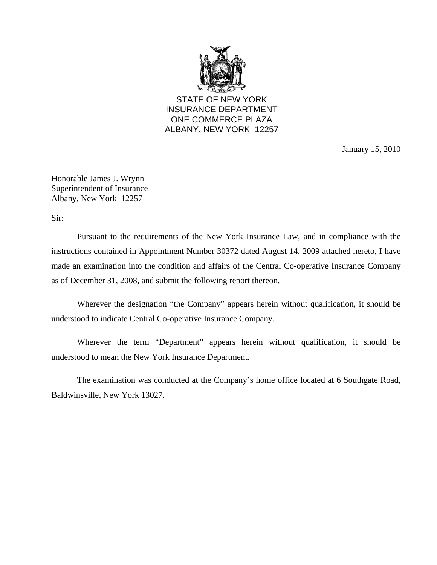

STATE OF NEW YORK INSURANCE DEPARTMENT ONE COMMERCE PLAZA ALBANY, NEW YORK 12257

January 15, 2010

Honorable James J. Wrynn Superintendent of Insurance Albany, New York 12257

Sir:

Pursuant to the requirements of the New York Insurance Law, and in compliance with the instructions contained in Appointment Number 30372 dated August 14, 2009 attached hereto, I have made an examination into the condition and affairs of the Central Co-operative Insurance Company as of December 31, 2008, and submit the following report thereon.

Wherever the designation "the Company" appears herein without qualification, it should be understood to indicate Central Co-operative Insurance Company.

Wherever the term "Department" appears herein without qualification, it should be understood to mean the New York Insurance Department.

The examination was conducted at the Company's home office located at 6 Southgate Road, Baldwinsville, New York 13027.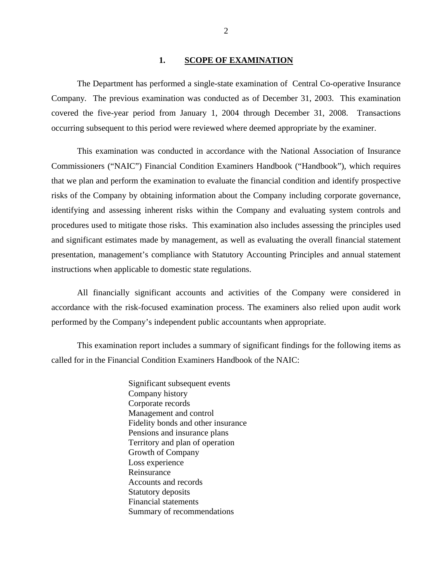### 1. **SCOPE OF EXAMINATION**

<span id="page-3-0"></span>The Department has performed a single-state examination of Central Co-operative Insurance Company*.* The previous examination was conducted as of December 31, 2003. This examination covered the five-year period from January 1, 2004 through December 31, 2008. Transactions occurring subsequent to this period were reviewed where deemed appropriate by the examiner.

This examination was conducted in accordance with the National Association of Insurance Commissioners ("NAIC") Financial Condition Examiners Handbook ("Handbook"), which requires that we plan and perform the examination to evaluate the financial condition and identify prospective risks of the Company by obtaining information about the Company including corporate governance, identifying and assessing inherent risks within the Company and evaluating system controls and procedures used to mitigate those risks. This examination also includes assessing the principles used and significant estimates made by management, as well as evaluating the overall financial statement presentation, management's compliance with Statutory Accounting Principles and annual statement instructions when applicable to domestic state regulations.

All financially significant accounts and activities of the Company were considered in accordance with the risk-focused examination process. The examiners also relied upon audit work performed by the Company's independent public accountants when appropriate.

This examination report includes a summary of significant findings for the following items as called for in the Financial Condition Examiners Handbook of the NAIC:

> Significant subsequent events Company history Corporate records Management and control Fidelity bonds and other insurance Pensions and insurance plans Territory and plan of operation Growth of Company Loss experience Reinsurance Accounts and records Statutory deposits Financial statements Summary of recommendations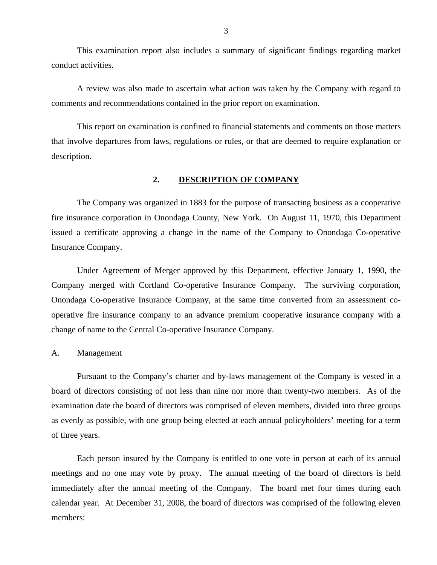<span id="page-4-0"></span>This examination report also includes a summary of significant findings regarding market conduct activities.

A review was also made to ascertain what action was taken by the Company with regard to comments and recommendations contained in the prior report on examination.

This report on examination is confined to financial statements and comments on those matters that involve departures from laws, regulations or rules, or that are deemed to require explanation or description.

#### **2. DESCRIPTION OF COMPANY**

The Company was organized in 1883 for the purpose of transacting business as a cooperative fire insurance corporation in Onondaga County, New York. On August 11, 1970, this Department issued a certificate approving a change in the name of the Company to Onondaga Co-operative Insurance Company.

Under Agreement of Merger approved by this Department, effective January 1, 1990, the Company merged with Cortland Co-operative Insurance Company. The surviving corporation, Onondaga Co-operative Insurance Company, at the same time converted from an assessment cooperative fire insurance company to an advance premium cooperative insurance company with a change of name to the Central Co-operative Insurance Company.

#### A. Management

Pursuant to the Company's charter and by-laws management of the Company is vested in a board of directors consisting of not less than nine nor more than twenty-two members. As of the examination date the board of directors was comprised of eleven members, divided into three groups as evenly as possible, with one group being elected at each annual policyholders' meeting for a term of three years.

Each person insured by the Company is entitled to one vote in person at each of its annual meetings and no one may vote by proxy. The annual meeting of the board of directors is held immediately after the annual meeting of the Company. The board met four times during each calendar year. At December 31, 2008, the board of directors was comprised of the following eleven members: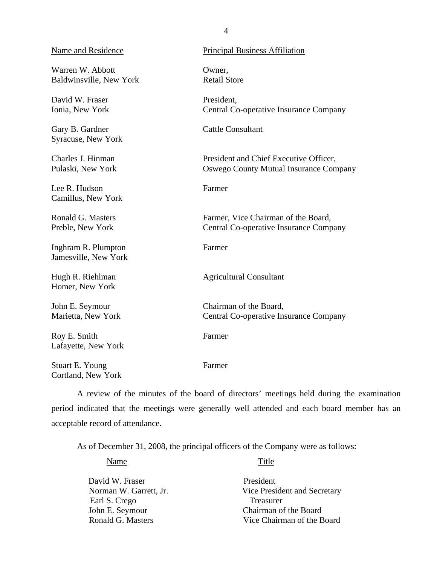## Name and Residence Principal Business Affiliation

Warren W. Abbott **Owner**, Baldwinsville, New York Retail Store

David W. Fraser President. Ionia, New York Central Co-operative Insurance Company

Gary B. Gardner Cattle Consultant Syracuse, New York

Charles J. Hinman President and Chief Executive Officer, Pulaski, New York Oswego County Mutual Insurance Company

Lee R. Hudson Farmer Camillus, New York

Ronald G. Masters Farmer, Vice Chairman of the Board, Preble, New York Central Co-operative Insurance Company

Inghram R. Plumpton Farmer Jamesville, New York

Hugh R. Riehlman Agricultural Consultant Homer, New York

John E. Seymour Chairman of the Board, Marietta, New York Central Co-operative Insurance Company

Roy E. Smith Farmer Lafayette, New York

Stuart E. Young Farmer Cortland, New York

A review of the minutes of the board of directors' meetings held during the examination period indicated that the meetings were generally well attended and each board member has an acceptable record of attendance.

As of December 31, 2008, the principal officers of the Company were as follows:

Name Title

| David W. Fraser        | President                    |
|------------------------|------------------------------|
| Norman W. Garrett, Jr. | Vice President and Secretary |
| Earl S. Crego          | <b>Treasurer</b>             |
| John E. Seymour        | Chairman of the Board        |
| Ronald G. Masters      | Vice Chairman of the Board   |

4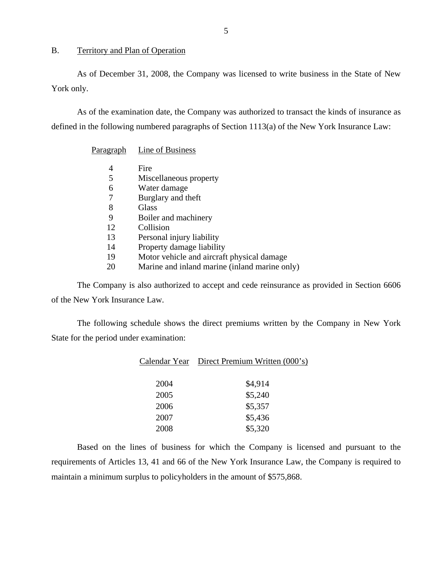#### <span id="page-6-0"></span>B. Territory and Plan of Operation

As of December 31, 2008, the Company was licensed to write business in the State of New York only.

As of the examination date, the Company was authorized to transact the kinds of insurance as defined in the following numbered paragraphs of Section 1113(a) of the New York Insurance Law:

Paragraph Line of Business

|    | Fire                                          |
|----|-----------------------------------------------|
| 5  | Miscellaneous property                        |
| 6  | Water damage                                  |
| 7  | Burglary and theft                            |
| 8  | Glass                                         |
| 9  | Boiler and machinery                          |
| 12 | Collision                                     |
| 13 | Personal injury liability                     |
| 14 | Property damage liability                     |
| 19 | Motor vehicle and aircraft physical damage    |
| 20 | Marine and inland marine (inland marine only) |

The Company is also authorized to accept and cede reinsurance as provided in Section 6606 of the New York Insurance Law.

The following schedule shows the direct premiums written by the Company in New York State for the period under examination:

| Calendar Year | Direct Premium Written (000's) |
|---------------|--------------------------------|
| 2004          | \$4,914                        |
| 2005          | \$5,240                        |
| 2006          | \$5,357                        |
| 2007          | \$5,436                        |
| 2008          | \$5,320                        |

Based on the lines of business for which the Company is licensed and pursuant to the requirements of Articles 13, 41 and 66 of the New York Insurance Law, the Company is required to maintain a minimum surplus to policyholders in the amount of \$575,868.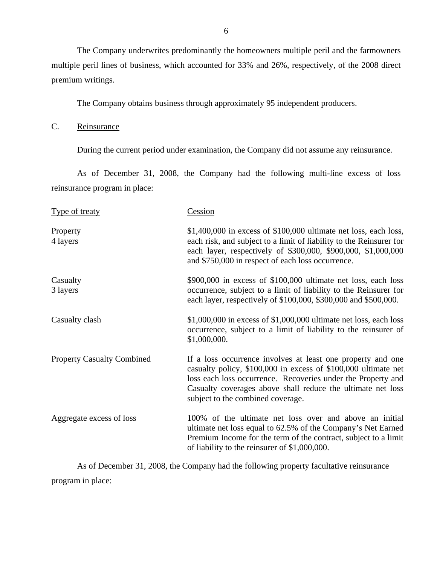<span id="page-7-0"></span>The Company underwrites predominantly the homeowners multiple peril and the farmowners multiple peril lines of business, which accounted for 33% and 26%, respectively, of the 2008 direct premium writings.

The Company obtains business through approximately 95 independent producers.

C. Reinsurance

During the current period under examination, the Company did not assume any reinsurance.

As of December 31, 2008, the Company had the following multi-line excess of loss reinsurance program in place:

| <b>Type of treaty</b>             | Cession                                                                                                                                                                                                                                                                                           |
|-----------------------------------|---------------------------------------------------------------------------------------------------------------------------------------------------------------------------------------------------------------------------------------------------------------------------------------------------|
| Property<br>4 layers              | $$1,400,000$ in excess of $$100,000$ ultimate net loss, each loss,<br>each risk, and subject to a limit of liability to the Reinsurer for<br>each layer, respectively of \$300,000, \$900,000, \$1,000,000<br>and \$750,000 in respect of each loss occurrence.                                   |
| Casualty<br>3 layers              | \$900,000 in excess of \$100,000 ultimate net loss, each loss<br>occurrence, subject to a limit of liability to the Reinsurer for<br>each layer, respectively of \$100,000, \$300,000 and \$500,000.                                                                                              |
| Casualty clash                    | $$1,000,000$ in excess of $$1,000,000$ ultimate net loss, each loss<br>occurrence, subject to a limit of liability to the reinsurer of<br>\$1,000,000.                                                                                                                                            |
| <b>Property Casualty Combined</b> | If a loss occurrence involves at least one property and one<br>casualty policy, \$100,000 in excess of \$100,000 ultimate net<br>loss each loss occurrence. Recoveries under the Property and<br>Casualty coverages above shall reduce the ultimate net loss<br>subject to the combined coverage. |
| Aggregate excess of loss          | 100% of the ultimate net loss over and above an initial<br>ultimate net loss equal to 62.5% of the Company's Net Earned<br>Premium Income for the term of the contract, subject to a limit<br>of liability to the reinsurer of \$1,000,000.                                                       |

As of December 31, 2008, the Company had the following property facultative reinsurance program in place: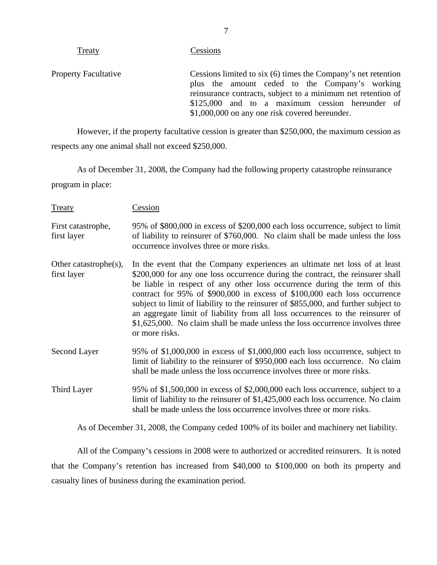| 11000,                      | <b>CODDIOIID</b>                                                                                                                                                                                                                                                                     |
|-----------------------------|--------------------------------------------------------------------------------------------------------------------------------------------------------------------------------------------------------------------------------------------------------------------------------------|
| <b>Property Facultative</b> | Cessions limited to six (6) times the Company's net retention<br>plus the amount ceded to the Company's working<br>reinsurance contracts, subject to a minimum net retention of<br>\$125,000 and to a maximum cession hereunder of<br>\$1,000,000 on any one risk covered hereunder. |
|                             |                                                                                                                                                                                                                                                                                      |

However, if the property facultative cession is greater than \$250,000, the maximum cession as respects any one animal shall not exceed \$250,000.

As of December 31, 2008, the Company had the following property catastrophe reinsurance program in place:

| <b>Treaty</b>                            | Cession                                                                                                                                                                                                                                                                                                                                                                                                                                                                                                                                                                                           |
|------------------------------------------|---------------------------------------------------------------------------------------------------------------------------------------------------------------------------------------------------------------------------------------------------------------------------------------------------------------------------------------------------------------------------------------------------------------------------------------------------------------------------------------------------------------------------------------------------------------------------------------------------|
| First catastrophe,<br>first layer        | 95% of \$800,000 in excess of \$200,000 each loss occurrence, subject to limit<br>of liability to reinsurer of \$760,000. No claim shall be made unless the loss<br>occurrence involves three or more risks.                                                                                                                                                                                                                                                                                                                                                                                      |
| Other catastrophe $(s)$ ,<br>first layer | In the event that the Company experiences an ultimate net loss of at least<br>\$200,000 for any one loss occurrence during the contract, the reinsurer shall<br>be liable in respect of any other loss occurrence during the term of this<br>contract for 95% of \$900,000 in excess of \$100,000 each loss occurrence<br>subject to limit of liability to the reinsurer of \$855,000, and further subject to<br>an aggregate limit of liability from all loss occurrences to the reinsurer of<br>\$1,625,000. No claim shall be made unless the loss occurrence involves three<br>or more risks. |
| Second Layer                             | 95% of \$1,000,000 in excess of \$1,000,000 each loss occurrence, subject to<br>limit of liability to the reinsurer of \$950,000 each loss occurrence. No claim<br>shall be made unless the loss occurrence involves three or more risks.                                                                                                                                                                                                                                                                                                                                                         |
| Third Layer                              | 95% of \$1,500,000 in excess of \$2,000,000 each loss occurrence, subject to a<br>limit of liability to the reinsurer of $$1,425,000$ each loss occurrence. No claim<br>shall be made unless the loss occurrence involves three or more risks.                                                                                                                                                                                                                                                                                                                                                    |

As of December 31, 2008, the Company ceded 100% of its boiler and machinery net liability.

All of the Company's cessions in 2008 were to authorized or accredited reinsurers. It is noted that the Company's retention has increased from \$40,000 to \$100,000 on both its property and casualty lines of business during the examination period.

Cessions

Treaty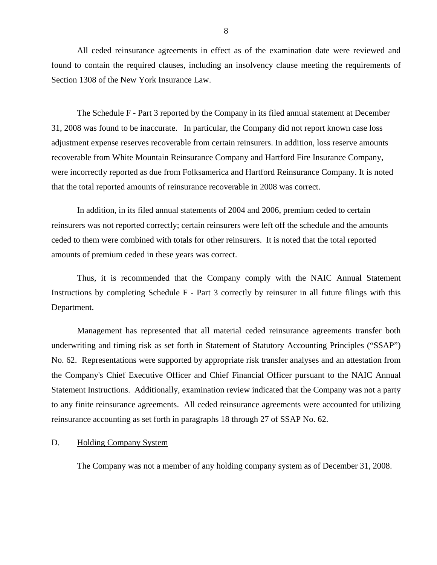<span id="page-9-0"></span>All ceded reinsurance agreements in effect as of the examination date were reviewed and found to contain the required clauses, including an insolvency clause meeting the requirements of Section 1308 of the New York Insurance Law.

The Schedule F - Part 3 reported by the Company in its filed annual statement at December 31, 2008 was found to be inaccurate. In particular, the Company did not report known case loss adjustment expense reserves recoverable from certain reinsurers. In addition, loss reserve amounts recoverable from White Mountain Reinsurance Company and Hartford Fire Insurance Company, were incorrectly reported as due from Folksamerica and Hartford Reinsurance Company. It is noted that the total reported amounts of reinsurance recoverable in 2008 was correct.

In addition, in its filed annual statements of 2004 and 2006, premium ceded to certain reinsurers was not reported correctly; certain reinsurers were left off the schedule and the amounts ceded to them were combined with totals for other reinsurers. It is noted that the total reported amounts of premium ceded in these years was correct.

Thus, it is recommended that the Company comply with the NAIC Annual Statement Instructions by completing Schedule F - Part 3 correctly by reinsurer in all future filings with this Department.

Management has represented that all material ceded reinsurance agreements transfer both underwriting and timing risk as set forth in Statement of Statutory Accounting Principles ("SSAP") No. 62. Representations were supported by appropriate risk transfer analyses and an attestation from the Company's Chief Executive Officer and Chief Financial Officer pursuant to the NAIC Annual Statement Instructions. Additionally, examination review indicated that the Company was not a party to any finite reinsurance agreements. All ceded reinsurance agreements were accounted for utilizing reinsurance accounting as set forth in paragraphs 18 through 27 of SSAP No. 62.

### D. Holding Company System

The Company was not a member of any holding company system as of December 31, 2008.

8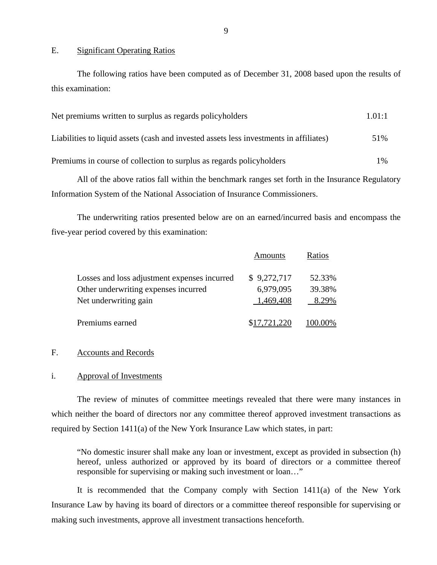#### E. Significant Operating Ratios

The following ratios have been computed as of December 31, 2008 based upon the results of this examination:

| Net premiums written to surplus as regards policyholders                               | 1.01:1 |
|----------------------------------------------------------------------------------------|--------|
| Liabilities to liquid assets (cash and invested assets less investments in affiliates) | 51%    |
| Premiums in course of collection to surplus as regards policyholders                   | $1\%$  |

All of the above ratios fall within the benchmark ranges set forth in the Insurance Regulatory Information System of the National Association of Insurance Commissioners.

The underwriting ratios presented below are on an earned/incurred basis and encompass the five-year period covered by this examination:

|                                              | Amounts      | Ratios  |
|----------------------------------------------|--------------|---------|
| Losses and loss adjustment expenses incurred | \$9,272,717  | 52.33%  |
| Other underwriting expenses incurred         | 6,979,095    | 39.38%  |
| Net underwriting gain                        | 1,469,408    | 8.29%   |
| Premiums earned                              | \$17,721,220 | 100.00% |

#### F. Accounts and Records

#### i. Approval of Investments

The review of minutes of committee meetings revealed that there were many instances in which neither the board of directors nor any committee thereof approved investment transactions as required by Section 1411(a) of the New York Insurance Law which states, in part:

"No domestic insurer shall make any loan or investment, except as provided in subsection (h) hereof, unless authorized or approved by its board of directors or a committee thereof responsible for supervising or making such investment or loan…"

It is recommended that the Company comply with Section 1411(a) of the New York Insurance Law by having its board of directors or a committee thereof responsible for supervising or making such investments, approve all investment transactions henceforth.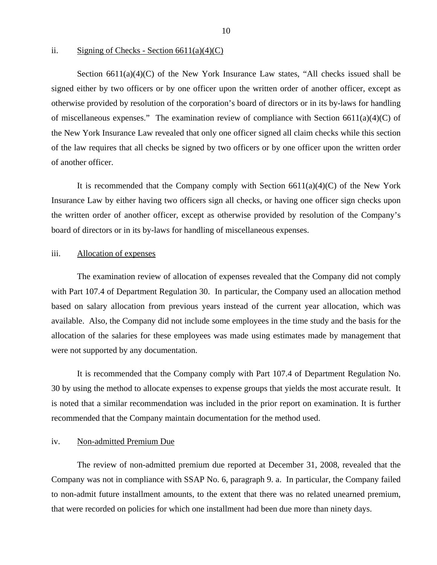ii. Signing of Checks - Section  $6611(a)(4)(C)$ 

Section  $6611(a)(4)(C)$  of the New York Insurance Law states, "All checks issued shall be signed either by two officers or by one officer upon the written order of another officer, except as otherwise provided by resolution of the corporation's board of directors or in its by-laws for handling of miscellaneous expenses." The examination review of compliance with Section 6611(a)(4)(C) of the New York Insurance Law revealed that only one officer signed all claim checks while this section of the law requires that all checks be signed by two officers or by one officer upon the written order of another officer.

It is recommended that the Company comply with Section  $6611(a)(4)(C)$  of the New York Insurance Law by either having two officers sign all checks, or having one officer sign checks upon the written order of another officer, except as otherwise provided by resolution of the Company's board of directors or in its by-laws for handling of miscellaneous expenses.

#### iii. Allocation of expenses

The examination review of allocation of expenses revealed that the Company did not comply with Part 107.4 of Department Regulation 30. In particular, the Company used an allocation method based on salary allocation from previous years instead of the current year allocation, which was available. Also, the Company did not include some employees in the time study and the basis for the allocation of the salaries for these employees was made using estimates made by management that were not supported by any documentation.

It is recommended that the Company comply with Part 107.4 of Department Regulation No. 30 by using the method to allocate expenses to expense groups that yields the most accurate result. It is noted that a similar recommendation was included in the prior report on examination. It is further recommended that the Company maintain documentation for the method used.

#### iv. Non-admitted Premium Due

The review of non-admitted premium due reported at December 31, 2008, revealed that the Company was not in compliance with SSAP No. 6, paragraph 9. a. In particular, the Company failed to non-admit future installment amounts, to the extent that there was no related unearned premium, that were recorded on policies for which one installment had been due more than ninety days.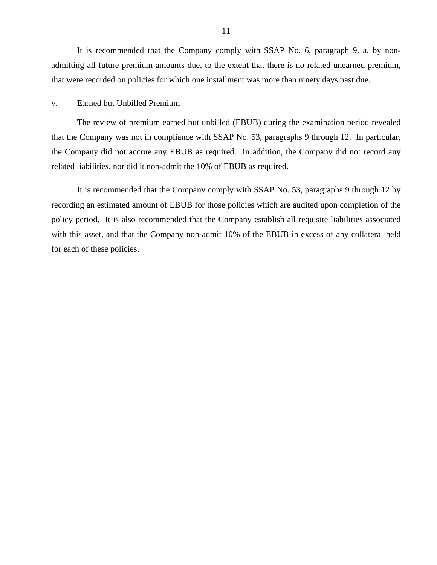It is recommended that the Company comply with SSAP No. 6, paragraph 9. a. by nonadmitting all future premium amounts due, to the extent that there is no related unearned premium, that were recorded on policies for which one installment was more than ninety days past due.

#### v. Earned but Unbilled Premium

The review of premium earned but unbilled (EBUB) during the examination period revealed that the Company was not in compliance with SSAP No. 53, paragraphs 9 through 12. In particular, the Company did not accrue any EBUB as required. In addition, the Company did not record any related liabilities, nor did it non-admit the 10% of EBUB as required.

It is recommended that the Company comply with SSAP No. 53, paragraphs 9 through 12 by recording an estimated amount of EBUB for those policies which are audited upon completion of the policy period. It is also recommended that the Company establish all requisite liabilities associated with this asset, and that the Company non-admit 10% of the EBUB in excess of any collateral held for each of these policies.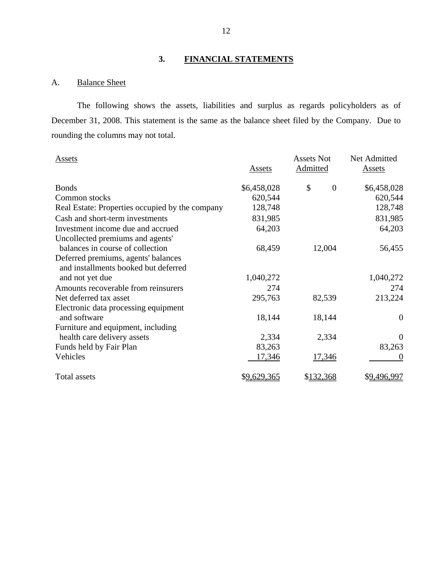# **3. FINANCIAL STATEMENTS**

# A. Balance Sheet

The following shows the assets, liabilities and surplus as regards policyholders as of December 31, 2008. This statement is the same as the balance sheet filed by the Company. Due to rounding the columns may not total.

| <b>Assets</b>                                   | Assets             | <b>Assets Not</b><br><b>Admitted</b> | Net Admitted<br><b>Assets</b> |
|-------------------------------------------------|--------------------|--------------------------------------|-------------------------------|
| <b>Bonds</b>                                    | \$6,458,028        | \$<br>$\overline{0}$                 | \$6,458,028                   |
| Common stocks                                   | 620,544            |                                      | 620,544                       |
| Real Estate: Properties occupied by the company | 128,748            |                                      | 128,748                       |
| Cash and short-term investments                 | 831,985            |                                      | 831,985                       |
| Investment income due and accrued               | 64,203             |                                      | 64,203                        |
| Uncollected premiums and agents'                |                    |                                      |                               |
| balances in course of collection                | 68,459             | 12,004                               | 56,455                        |
| Deferred premiums, agents' balances             |                    |                                      |                               |
| and installments booked but deferred            |                    |                                      |                               |
| and not yet due                                 | 1,040,272          |                                      | 1,040,272                     |
| Amounts recoverable from reinsurers             | 274                |                                      | 274                           |
| Net deferred tax asset                          | 295,763            | 82,539                               | 213,224                       |
| Electronic data processing equipment            |                    |                                      |                               |
| and software                                    | 18,144             | 18,144                               | $\theta$                      |
| Furniture and equipment, including              |                    |                                      |                               |
| health care delivery assets                     | 2,334              | 2,334                                | $\Omega$                      |
| Funds held by Fair Plan                         | 83,263             |                                      | 83,263                        |
| Vehicles                                        | 17,346             | 17,346                               | $\theta$                      |
| Total assets                                    | <u>\$9,629,365</u> | \$132,368                            | \$9,496,997                   |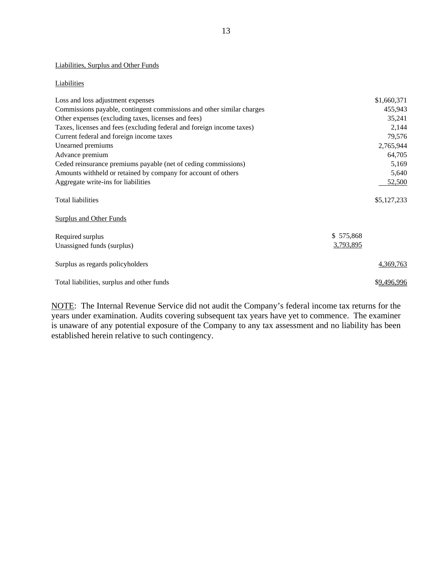#### Liabilities, Surplus and Other Funds

#### **Liabilities**

| Loss and loss adjustment expenses                                     | \$1,660,371            |
|-----------------------------------------------------------------------|------------------------|
| Commissions payable, contingent commissions and other similar charges | 455,943                |
| Other expenses (excluding taxes, licenses and fees)                   | 35,241                 |
| Taxes, licenses and fees (excluding federal and foreign income taxes) | 2,144                  |
| Current federal and foreign income taxes                              | 79,576                 |
| Unearned premiums                                                     | 2,765,944              |
| Advance premium                                                       | 64,705                 |
| Ceded reinsurance premiums payable (net of ceding commissions)        | 5,169                  |
| Amounts withheld or retained by company for account of others         | 5,640                  |
| Aggregate write-ins for liabilities                                   | 52,500                 |
| <b>Total liabilities</b>                                              | \$5,127,233            |
| <b>Surplus and Other Funds</b>                                        |                        |
| Required surplus<br>Unassigned funds (surplus)                        | \$575,868<br>3,793,895 |
| Surplus as regards policyholders                                      | 4,369,763              |
| Total liabilities, surplus and other funds                            | \$9,496,996            |

NOTE: The Internal Revenue Service did not audit the Company's federal income tax returns for the years under examination. Audits covering subsequent tax years have yet to commence. The examiner is unaware of any potential exposure of the Company to any tax assessment and no liability has been established herein relative to such contingency.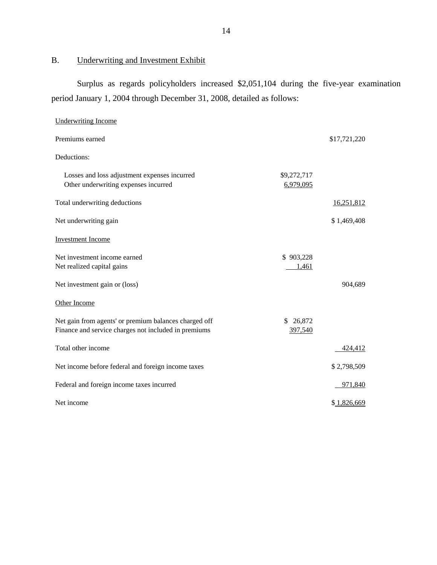<span id="page-15-0"></span>B. Underwriting and Investment Exhibit

Surplus as regards policyholders increased \$2,051,104 during the five-year examination period January 1, 2004 through December 31, 2008, detailed as follows:

| <b>Underwriting Income</b>                                                                                    |                          |              |
|---------------------------------------------------------------------------------------------------------------|--------------------------|--------------|
| Premiums earned                                                                                               |                          | \$17,721,220 |
| Deductions:                                                                                                   |                          |              |
| Losses and loss adjustment expenses incurred<br>Other underwriting expenses incurred                          | \$9,272,717<br>6,979,095 |              |
| Total underwriting deductions                                                                                 |                          | 16,251,812   |
| Net underwriting gain                                                                                         |                          | \$1,469,408  |
| <b>Investment Income</b>                                                                                      |                          |              |
| Net investment income earned<br>Net realized capital gains                                                    | \$903,228<br>1,461       |              |
| Net investment gain or (loss)                                                                                 |                          | 904,689      |
| Other Income                                                                                                  |                          |              |
| Net gain from agents' or premium balances charged off<br>Finance and service charges not included in premiums | \$ 26,872<br>397,540     |              |
| Total other income                                                                                            |                          | 424,412      |
| Net income before federal and foreign income taxes                                                            |                          | \$2,798,509  |
| Federal and foreign income taxes incurred                                                                     |                          | 971,840      |
| Net income                                                                                                    |                          | \$1,826,669  |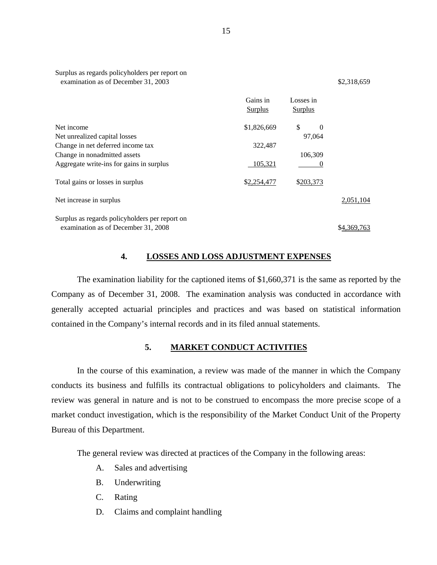<span id="page-16-0"></span>

| Surplus as regards policyholders per report on<br>examination as of December 31, 2003 |                            |                             | \$2,318,659 |
|---------------------------------------------------------------------------------------|----------------------------|-----------------------------|-------------|
|                                                                                       | Gains in<br><b>Surplus</b> | Losses in<br><b>Surplus</b> |             |
| Net income<br>Net unrealized capital losses                                           | \$1,826,669                | \$.<br>0<br>97,064          |             |
| Change in net deferred income tax                                                     | 322,487                    |                             |             |
| Change in nonadmitted assets                                                          |                            | 106,309                     |             |
| Aggregate write-ins for gains in surplus                                              | 105,321                    |                             |             |
| Total gains or losses in surplus                                                      | \$2,254,477                | \$203,373                   |             |
| Net increase in surplus                                                               |                            |                             | 2,051,104   |
| Surplus as regards policyholders per report on                                        |                            |                             |             |
| examination as of December 31, 2008                                                   |                            |                             | \$4,369,763 |

### **4. LOSSES AND LOSS ADJUSTMENT EXPENSES**

The examination liability for the captioned items of \$1,660,371 is the same as reported by the Company as of December 31, 2008. The examination analysis was conducted in accordance with generally accepted actuarial principles and practices and was based on statistical information contained in the Company's internal records and in its filed annual statements.

#### **5. MARKET CONDUCT ACTIVITIES**

In the course of this examination, a review was made of the manner in which the Company conducts its business and fulfills its contractual obligations to policyholders and claimants. The review was general in nature and is not to be construed to encompass the more precise scope of a market conduct investigation, which is the responsibility of the Market Conduct Unit of the Property Bureau of this Department.

The general review was directed at practices of the Company in the following areas:

- A. Sales and advertising
- B. Underwriting
- C. Rating
- D. Claims and complaint handling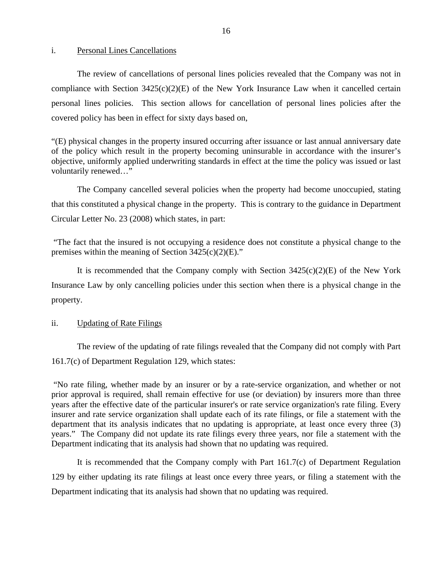#### i. Personal Lines Cancellations

The review of cancellations of personal lines policies revealed that the Company was not in compliance with Section 3425(c)(2)(E) of the New York Insurance Law when it cancelled certain personal lines policies. This section allows for cancellation of personal lines policies after the covered policy has been in effect for sixty days based on,

"(E) physical changes in the property insured occurring after issuance or last annual anniversary date of the policy which result in the property becoming uninsurable in accordance with the insurer's objective, uniformly applied underwriting standards in effect at the time the policy was issued or last voluntarily renewed…"

The Company cancelled several policies when the property had become unoccupied, stating that this constituted a physical change in the property. This is contrary to the guidance in Department Circular Letter No. 23 (2008) which states, in part:

"The fact that the insured is not occupying a residence does not constitute a physical change to the premises within the meaning of Section  $3425(c)(2)(E)$ ."

It is recommended that the Company comply with Section  $3425(c)(2)(E)$  of the New York Insurance Law by only cancelling policies under this section when there is a physical change in the property.

#### ii. Updating of Rate Filings

The review of the updating of rate filings revealed that the Company did not comply with Part 161.7(c) of Department Regulation 129, which states:

"No rate filing, whether made by an insurer or by a rate-service organization, and whether or not prior approval is required, shall remain effective for use (or deviation) by insurers more than three years after the effective date of the particular insurer's or rate service organization's rate filing. Every insurer and rate service organization shall update each of its rate filings, or file a statement with the department that its analysis indicates that no updating is appropriate, at least once every three (3) years." The Company did not update its rate filings every three years, nor file a statement with the Department indicating that its analysis had shown that no updating was required.

It is recommended that the Company comply with Part 161.7(c) of Department Regulation 129 by either updating its rate filings at least once every three years, or filing a statement with the Department indicating that its analysis had shown that no updating was required.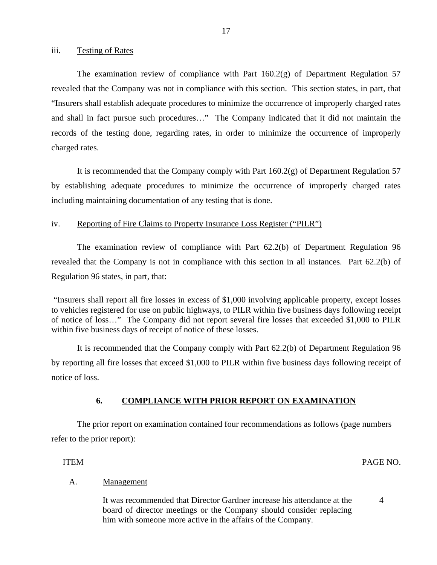<span id="page-18-0"></span>iii. Testing of Rates

The examination review of compliance with Part  $160.2(g)$  of Department Regulation 57 revealed that the Company was not in compliance with this section. This section states, in part, that "Insurers shall establish adequate procedures to minimize the occurrence of improperly charged rates and shall in fact pursue such procedures…" The Company indicated that it did not maintain the records of the testing done, regarding rates, in order to minimize the occurrence of improperly charged rates.

It is recommended that the Company comply with Part  $160.2(g)$  of Department Regulation 57 by establishing adequate procedures to minimize the occurrence of improperly charged rates including maintaining documentation of any testing that is done.

#### iv. Reporting of Fire Claims to Property Insurance Loss Register ("PILR")

The examination review of compliance with Part 62.2(b) of Department Regulation 96 revealed that the Company is not in compliance with this section in all instances. Part 62.2(b) of Regulation 96 states, in part, that:

"Insurers shall report all fire losses in excess of \$1,000 involving applicable property, except losses to vehicles registered for use on public highways, to PILR within five business days following receipt of notice of loss…" The Company did not report several fire losses that exceeded \$1,000 to PILR within five business days of receipt of notice of these losses.

It is recommended that the Company comply with Part 62.2(b) of Department Regulation 96 by reporting all fire losses that exceed \$1,000 to PILR within five business days following receipt of notice of loss.

### **6. COMPLIANCE WITH PRIOR REPORT ON EXAMINATION**

The prior report on examination contained four recommendations as follows (page numbers refer to the prior report):

#### ITEM PAGE NO.

4

### Management

A. <u>Management</u><br>It was recommended that Director Gardner increase his attendance at the board of director meetings or the Company should consider replacing him with someone more active in the affairs of the Company.

17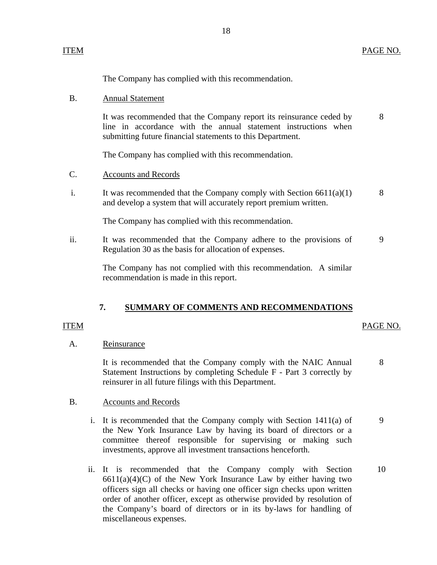The Company has complied with this recommendation.

#### **Annual Statement** B.

It was recommended that the Company report its reinsurance ceded by line in accordance with the annual statement instructions when submitting future financial statements to this Department. 8

The Company has complied with this recommendation.

#### **Accounts and Records** C.

i. It was recommended that the Company comply with Section  $6611(a)(1)$ and develop a system that will accurately report premium written. 8

The Company has complied with this recommendation.

ii. It was recommended that the Company adhere to the provisions of Regulation 30 as the basis for allocation of expenses. 9

> The Company has not complied with this recommendation. A similar recommendation is made in this report.

#### **7. SUMMARY OF COMMENTS AND RECOMMENDATIONS**

#### ITEM

#### PAGE NO.

#### A. Reinsurance

It is recommended that the Company comply with the NAIC Annual Statement Instructions by completing Schedule F - Part 3 correctly by reinsurer in all future filings with this Department. 8

#### **Accounts and Records** B.

- i. It is recommended that the Company comply with Section  $1411(a)$  of the New York Insurance Law by having its board of directors or a committee thereof responsible for supervising or making such investments, approve all investment transactions henceforth. 9
- ii. It is recommended that the Company comply with Section  $6611(a)(4)(C)$  of the New York Insurance Law by either having two officers sign all checks or having one officer sign checks upon written order of another officer, except as otherwise provided by resolution of the Company's board of directors or in its by-laws for handling of miscellaneous expenses. 10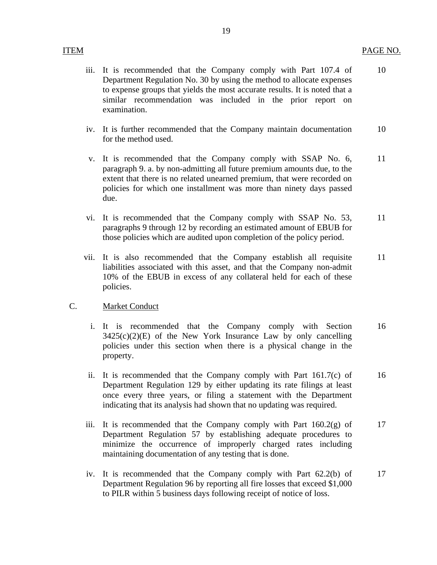### **ITEM**

- iii. It is recommended that the Company comply with Part 107.4 of Department Regulation No. 30 by using the method to allocate expenses to expense groups that yields the most accurate results. It is noted that a similar recommendation was included in the prior report on examination. 10
- iv. It is further recommended that the Company maintain documentation for the method used. 10
- v. It is recommended that the Company comply with SSAP No. 6, paragraph 9. a. by non-admitting all future premium amounts due, to the extent that there is no related unearned premium, that were recorded on policies for which one installment was more than ninety days passed due. 11
- vi. It is recommended that the Company comply with SSAP No. 53, paragraphs 9 through 12 by recording an estimated amount of EBUB for those policies which are audited upon completion of the policy period. 11
- vii. It is also recommended that the Company establish all requisite liabilities associated with this asset, and that the Company non-admit 10% of the EBUB in excess of any collateral held for each of these policies. 11

#### **Market Conduct**

- C. <u>Market Conduct</u><br>
i. It is recommended that the Company comply with Section  $3425(c)(2)(E)$  of the New York Insurance Law by only cancelling policies under this section when there is a physical change in the property. 16
	- ii. It is recommended that the Company comply with Part 161.7(c) of Department Regulation 129 by either updating its rate filings at least once every three years, or filing a statement with the Department indicating that its analysis had shown that no updating was required. 16
	- iii. It is recommended that the Company comply with Part  $160.2(g)$  of Department Regulation 57 by establishing adequate procedures to minimize the occurrence of improperly charged rates including maintaining documentation of any testing that is done. 17
	- iv. It is recommended that the Company comply with Part 62.2(b) of Department Regulation 96 by reporting all fire losses that exceed \$1,000 to PILR within 5 business days following receipt of notice of loss. 17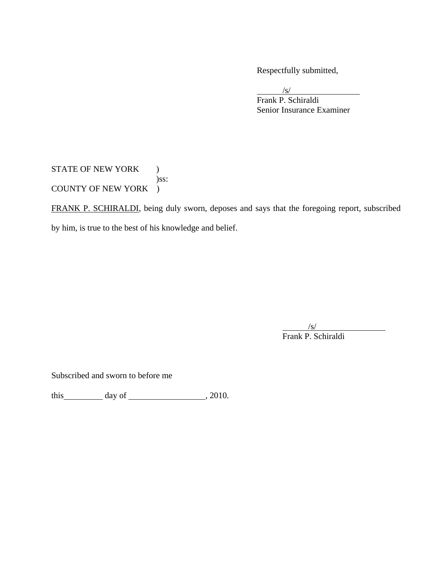Respectfully submitted,

 $/s/$  Frank P. Schiraldi Senior Insurance Examiner  $\sqrt{s}$ 

STATE OF NEW YORK ) )ss: COUNTY OF NEW YORK )

FRANK P. SCHIRALDI, being duly sworn, deposes and says that the foregoing report, subscribed by him, is true to the best of his knowledge and belief.

 $\overline{\phantom{a}}$  $\sqrt{s}$ Frank P. Schiraldi

Subscribed and sworn to before me

this day of  $\frac{1}{2010}$ , 2010.